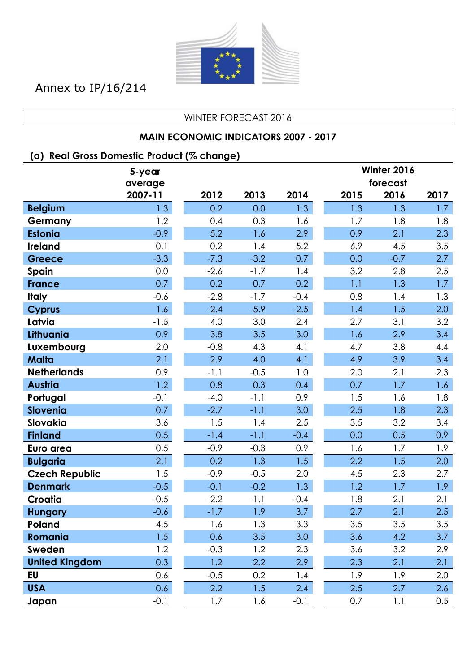

Annex to IP/16/214

#### WINTER FORECAST 2016

### **MAIN ECONOMIC INDICATORS 2007 - 2017**

### **(a) Real Gross Domestic Product (% change)**

|                       | 5-year  |        |        |        | Winter 2016 |          |      |
|-----------------------|---------|--------|--------|--------|-------------|----------|------|
|                       | average |        |        |        |             | forecast |      |
|                       | 2007-11 | 2012   | 2013   | 2014   | 2015        | 2016     | 2017 |
| <b>Belgium</b>        | 1.3     | 0.2    | 0.0    | 1.3    | 1.3         | 1.3      | 1.7  |
| Germany               | 1.2     | 0.4    | 0.3    | 1.6    | 1.7         | 1.8      | 1.8  |
| <b>Estonia</b>        | $-0.9$  | 5.2    | 1.6    | 2.9    | 0.9         | 2.1      | 2.3  |
| <b>Ireland</b>        | 0.1     | 0.2    | 1.4    | 5.2    | 6.9         | 4.5      | 3.5  |
| <b>Greece</b>         | $-3.3$  | $-7.3$ | $-3.2$ | 0.7    | 0.0         | $-0.7$   | 2.7  |
| Spain                 | 0.0     | $-2.6$ | $-1.7$ | 1.4    | 3.2         | 2.8      | 2.5  |
| <b>France</b>         | 0.7     | 0.2    | 0.7    | 0.2    | 1.1         | 1.3      | 1.7  |
| <b>Italy</b>          | $-0.6$  | $-2.8$ | $-1.7$ | $-0.4$ | 0.8         | 1.4      | 1.3  |
| <b>Cyprus</b>         | 1.6     | $-2.4$ | $-5.9$ | $-2.5$ | 1.4         | 1.5      | 2.0  |
| Latvia                | $-1.5$  | 4.0    | 3.0    | 2.4    | 2.7         | 3.1      | 3.2  |
| Lithuania             | 0.9     | 3.8    | 3.5    | 3.0    | 1.6         | 2.9      | 3.4  |
| Luxembourg            | 2.0     | $-0.8$ | 4.3    | 4.1    | 4.7         | 3.8      | 4.4  |
| <b>Malta</b>          | 2.1     | 2.9    | 4.0    | 4.1    | 4.9         | 3.9      | 3.4  |
| <b>Netherlands</b>    | 0.9     | $-1.1$ | $-0.5$ | 1.0    | 2.0         | 2.1      | 2.3  |
| <b>Austria</b>        | 1.2     | 0.8    | 0.3    | 0.4    | 0.7         | 1.7      | 1.6  |
| Portugal              | $-0.1$  | $-4.0$ | $-1.1$ | 0.9    | 1.5         | 1.6      | 1.8  |
| Slovenia              | 0.7     | $-2.7$ | $-1.1$ | 3.0    | 2.5         | 1.8      | 2.3  |
| Slovakia              | 3.6     | 1.5    | 1.4    | 2.5    | 3.5         | 3.2      | 3.4  |
| <b>Finland</b>        | 0.5     | $-1.4$ | $-1.1$ | $-0.4$ | 0.0         | 0.5      | 0.9  |
| Euro area             | 0.5     | $-0.9$ | $-0.3$ | 0.9    | 1.6         | 1.7      | 1.9  |
| <b>Bulgaria</b>       | 2.1     | 0.2    | 1.3    | 1.5    | 2.2         | 1.5      | 2.0  |
| <b>Czech Republic</b> | 1.5     | $-0.9$ | $-0.5$ | 2.0    | 4.5         | 2.3      | 2.7  |
| <b>Denmark</b>        | $-0.5$  | $-0.1$ | $-0.2$ | 1.3    | 1.2         | 1.7      | 1.9  |
| Croatia               | $-0.5$  | $-2.2$ | $-1.1$ | $-0.4$ | 1.8         | 2.1      | 2.1  |
| <b>Hungary</b>        | $-0.6$  | $-1.7$ | 1.9    | 3.7    | 2.7         | 2.1      | 2.5  |
| Poland                | 4.5     | 1.6    | 1.3    | 3.3    | 3.5         | 3.5      | 3.5  |
| Romania               | 1.5     | 0.6    | 3.5    | 3.0    | 3.6         | 4.2      | 3.7  |
| Sweden                | 1.2     | $-0.3$ | 1.2    | 2.3    | 3.6         | 3.2      | 2.9  |
| <b>United Kingdom</b> | 0.3     | 1.2    | 2.2    | 2.9    | 2.3         | 2.1      | 2.1  |
| EU                    | 0.6     | $-0.5$ | 0.2    | 1.4    | 1.9         | 1.9      | 2.0  |
| <b>USA</b>            | 0.6     | 2.2    | 1.5    | 2.4    | 2.5         | 2.7      | 2.6  |
| Japan                 | $-0.1$  | 1.7    | 1.6    | $-0.1$ | 0.7         | 1.1      | 0.5  |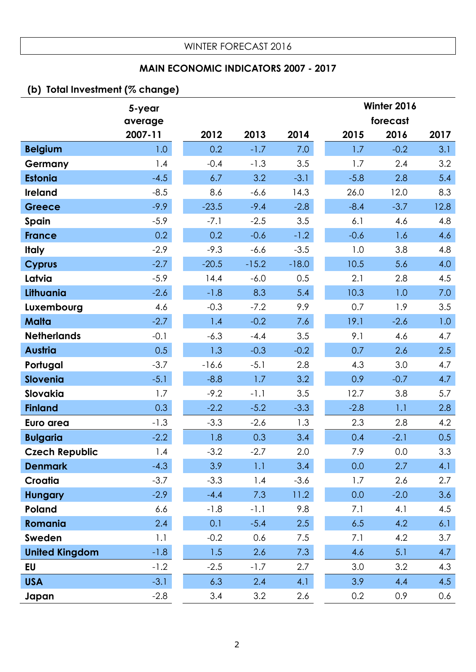### **MAIN ECONOMIC INDICATORS 2007 - 2017**

## **(b) Total Investment (% change)**

|                       | 5-year  |         |         |         |        | Winter 2016 |      |
|-----------------------|---------|---------|---------|---------|--------|-------------|------|
|                       | average |         |         |         |        | forecast    |      |
|                       | 2007-11 | 2012    | 2013    | 2014    | 2015   | 2016        | 2017 |
| <b>Belgium</b>        | 1.0     | 0.2     | $-1.7$  | 7.0     | 1.7    | $-0.2$      | 3.1  |
| Germany               | 1.4     | $-0.4$  | $-1.3$  | 3.5     | 1.7    | 2.4         | 3.2  |
| <b>Estonia</b>        | $-4.5$  | 6.7     | 3.2     | $-3.1$  | $-5.8$ | 2.8         | 5.4  |
| <b>Ireland</b>        | $-8.5$  | 8.6     | $-6.6$  | 14.3    | 26.0   | 12.0        | 8.3  |
| <b>Greece</b>         | $-9.9$  | $-23.5$ | $-9.4$  | $-2.8$  | $-8.4$ | $-3.7$      | 12.8 |
| Spain                 | $-5.9$  | $-7.1$  | $-2.5$  | 3.5     | 6.1    | 4.6         | 4.8  |
| <b>France</b>         | 0.2     | 0.2     | $-0.6$  | $-1.2$  | $-0.6$ | 1.6         | 4.6  |
| <b>Italy</b>          | $-2.9$  | $-9.3$  | $-6.6$  | $-3.5$  | 1.0    | 3.8         | 4.8  |
| <b>Cyprus</b>         | $-2.7$  | $-20.5$ | $-15.2$ | $-18.0$ | 10.5   | 5.6         | 4.0  |
| Latvia                | $-5.9$  | 14.4    | $-6.0$  | 0.5     | 2.1    | 2.8         | 4.5  |
| Lithuania             | $-2.6$  | $-1.8$  | 8.3     | 5.4     | 10.3   | 1.0         | 7.0  |
| Luxembourg            | 4.6     | $-0.3$  | $-7.2$  | 9.9     | 0.7    | 1.9         | 3.5  |
| <b>Malta</b>          | $-2.7$  | 1.4     | $-0.2$  | 7.6     | 19.1   | $-2.6$      | 1.0  |
| <b>Netherlands</b>    | $-0.1$  | $-6.3$  | $-4.4$  | 3.5     | 9.1    | 4.6         | 4.7  |
| <b>Austria</b>        | 0.5     | 1.3     | $-0.3$  | $-0.2$  | 0.7    | 2.6         | 2.5  |
| Portugal              | $-3.7$  | $-16.6$ | $-5.1$  | 2.8     | 4.3    | 3.0         | 4.7  |
| <b>Slovenia</b>       | $-5.1$  | $-8.8$  | 1.7     | 3.2     | 0.9    | $-0.7$      | 4.7  |
| Slovakia              | 1.7     | $-9.2$  | $-1.1$  | 3.5     | 12.7   | 3.8         | 5.7  |
| <b>Finland</b>        | 0.3     | $-2.2$  | $-5.2$  | $-3.3$  | $-2.8$ | 1.1         | 2.8  |
| Euro area             | $-1.3$  | $-3.3$  | $-2.6$  | 1.3     | 2.3    | 2.8         | 4.2  |
| <b>Bulgaria</b>       | $-2.2$  | 1.8     | 0.3     | 3.4     | 0.4    | $-2.1$      | 0.5  |
| <b>Czech Republic</b> | 1.4     | $-3.2$  | $-2.7$  | 2.0     | 7.9    | 0.0         | 3.3  |
| <b>Denmark</b>        | $-4.3$  | 3.9     | 1.1     | 3.4     | 0.0    | 2.7         | 4.1  |
| Croatia               | $-3.7$  | $-3.3$  | 1.4     | $-3.6$  | 1.7    | 2.6         | 2.7  |
| <b>Hungary</b>        | $-2.9$  | $-4.4$  | 7.3     | 11.2    | 0.0    | $-2.0$      | 3.6  |
| Poland                | 6.6     | $-1.8$  | $-1.1$  | 9.8     | 7.1    | 4.1         | 4.5  |
| Romania               | 2.4     | 0.1     | $-5.4$  | 2.5     | 6.5    | 4.2         | 6.1  |
| Sweden                | 1.1     | $-0.2$  | 0.6     | 7.5     | 7.1    | 4.2         | 3.7  |
| <b>United Kingdom</b> | $-1.8$  | 1.5     | 2.6     | 7.3     | 4.6    | 5.1         | 4.7  |
| <b>EU</b>             | $-1.2$  | $-2.5$  | $-1.7$  | 2.7     | 3.0    | 3.2         | 4.3  |
| <b>USA</b>            | $-3.1$  | 6.3     | 2.4     | 4.1     | 3.9    | 4.4         | 4.5  |
| Japan                 | $-2.8$  | 3.4     | 3.2     | 2.6     | 0.2    | 0.9         | 0.6  |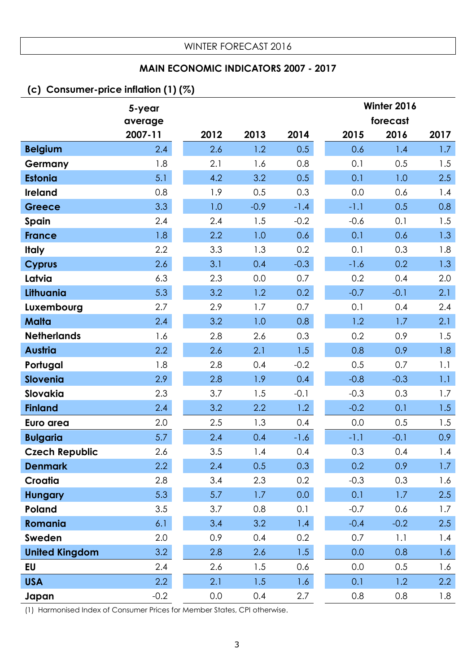### **MAIN ECONOMIC INDICATORS 2007 - 2017**

### **(c) Consumer-price inflation (1) (%)**

|                       | 5-year  |      |        |        |        | Winter 2016 |                  |
|-----------------------|---------|------|--------|--------|--------|-------------|------------------|
|                       | average |      |        |        |        | forecast    |                  |
|                       | 2007-11 | 2012 | 2013   | 2014   | 2015   | 2016        | 2017             |
| <b>Belgium</b>        | 2.4     | 2.6  | 1.2    | 0.5    | 0.6    | 1.4         | 1.7              |
| Germany               | 1.8     | 2.1  | 1.6    | 0.8    | 0.1    | 0.5         | 1.5              |
| <b>Estonia</b>        | 5.1     | 4.2  | 3.2    | 0.5    | 0.1    | 1.0         | 2.5              |
| <b>Ireland</b>        | 0.8     | 1.9  | 0.5    | 0.3    | 0.0    | 0.6         | 1.4              |
| <b>Greece</b>         | 3.3     | 1.0  | $-0.9$ | $-1.4$ | $-1.1$ | 0.5         | 0.8              |
| Spain                 | 2.4     | 2.4  | 1.5    | $-0.2$ | $-0.6$ | 0.1         | 1.5              |
| <b>France</b>         | 1.8     | 2.2  | 1.0    | 0.6    | 0.1    | 0.6         | 1.3              |
| <b>Italy</b>          | 2.2     | 3.3  | 1.3    | 0.2    | 0.1    | 0.3         | 1.8              |
| <b>Cyprus</b>         | 2.6     | 3.1  | 0.4    | $-0.3$ | $-1.6$ | 0.2         | 1.3              |
| Latvia                | 6.3     | 2.3  | 0.0    | 0.7    | 0.2    | 0.4         | 2.0              |
| Lithuania             | 5.3     | 3.2  | 1.2    | 0.2    | $-0.7$ | $-0.1$      | 2.1              |
| Luxembourg            | 2.7     | 2.9  | 1.7    | 0.7    | 0.1    | 0.4         | 2.4              |
| <b>Malta</b>          | 2.4     | 3.2  | 1.0    | 0.8    | 1.2    | 1.7         | 2.1              |
| <b>Netherlands</b>    | 1.6     | 2.8  | 2.6    | 0.3    | 0.2    | 0.9         | 1.5              |
| <b>Austria</b>        | 2.2     | 2.6  | 2.1    | 1.5    | 0.8    | 0.9         | 1.8              |
| Portugal              | 1.8     | 2.8  | 0.4    | $-0.2$ | 0.5    | 0.7         | 1.1              |
| <b>Slovenia</b>       | 2.9     | 2.8  | 1.9    | 0.4    | $-0.8$ | $-0.3$      | 1.1              |
| Slovakia              | 2.3     | 3.7  | 1.5    | $-0.1$ | $-0.3$ | 0.3         | 1.7              |
| <b>Finland</b>        | 2.4     | 3.2  | 2.2    | 1.2    | $-0.2$ | 0.1         | 1.5              |
| Euro area             | 2.0     | 2.5  | 1.3    | 0.4    | 0.0    | 0.5         | 1.5              |
| <b>Bulgaria</b>       | 5.7     | 2.4  | 0.4    | $-1.6$ | $-1.1$ | $-0.1$      | 0.9 <sub>0</sub> |
| <b>Czech Republic</b> | 2.6     | 3.5  | 1.4    | 0.4    | 0.3    | 0.4         | 1.4              |
| <b>Denmark</b>        | 2.2     | 2.4  | 0.5    | 0.3    | 0.2    | 0.9         | 1.7 <sub>2</sub> |
| <b>Croatia</b>        | 2.8     | 3.4  | 2.3    | 0.2    | $-0.3$ | 0.3         | 1.6              |
| <b>Hungary</b>        | 5.3     | 5.7  | 1.7    | 0.0    | 0.1    | 1.7         | 2.5              |
| Poland                | 3.5     | 3.7  | 0.8    | 0.1    | $-0.7$ | 0.6         | 1.7              |
| Romania               | 6.1     | 3.4  | 3.2    | 1.4    | $-0.4$ | $-0.2$      | 2.5              |
| Sweden                | 2.0     | 0.9  | 0.4    | 0.2    | 0.7    | 1.1         | 1.4              |
| <b>United Kingdom</b> | 3.2     | 2.8  | 2.6    | 1.5    | 0.0    | 0.8         | 1.6              |
| <b>EU</b>             | 2.4     | 2.6  | 1.5    | 0.6    | 0.0    | 0.5         | 1.6              |
| <b>USA</b>            | 2.2     | 2.1  | 1.5    | 1.6    | 0.1    | 1.2         | 2.2              |
| Japan                 | $-0.2$  | 0.0  | 0.4    | 2.7    | 0.8    | 0.8         | 1.8              |

(1) Harmonised Index of Consumer Prices for Member States, CPI otherwise.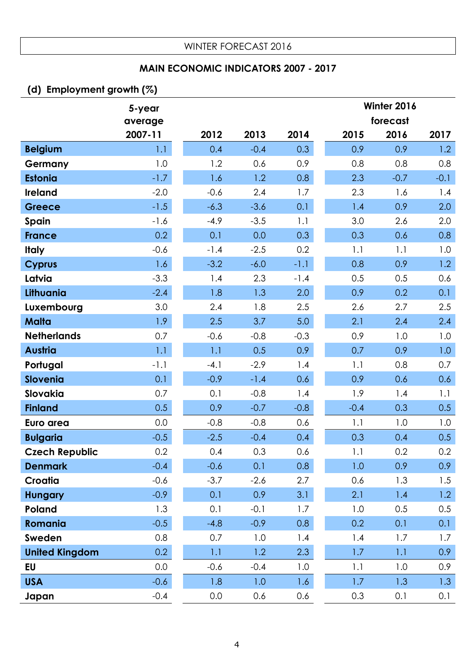### **MAIN ECONOMIC INDICATORS 2007 - 2017**

## **(d) Employment growth (%)**

|                       | 5-year  |        |        |        | Winter 2016 |          |                  |
|-----------------------|---------|--------|--------|--------|-------------|----------|------------------|
|                       | average |        |        |        |             | forecast |                  |
|                       | 2007-11 | 2012   | 2013   | 2014   | 2015        | 2016     | 2017             |
| <b>Belgium</b>        | 1.1     | 0.4    | $-0.4$ | 0.3    | 0.9         | 0.9      | 1.2              |
| Germany               | 1.0     | 1.2    | 0.6    | 0.9    | 0.8         | 0.8      | 0.8              |
| <b>Estonia</b>        | $-1.7$  | 1.6    | 1.2    | 0.8    | 2.3         | $-0.7$   | $-0.1$           |
| <b>Ireland</b>        | $-2.0$  | $-0.6$ | 2.4    | 1.7    | 2.3         | 1.6      | 1.4              |
| <b>Greece</b>         | $-1.5$  | $-6.3$ | $-3.6$ | 0.1    | 1.4         | 0.9      | 2.0              |
| Spain                 | $-1.6$  | $-4.9$ | $-3.5$ | 1.1    | 3.0         | 2.6      | 2.0              |
| <b>France</b>         | 0.2     | 0.1    | 0.0    | 0.3    | 0.3         | 0.6      | 0.8              |
| <b>Italy</b>          | $-0.6$  | $-1.4$ | $-2.5$ | 0.2    | 1.1         | 1.1      | 1.0              |
| <b>Cyprus</b>         | 1.6     | $-3.2$ | $-6.0$ | $-1.1$ | 0.8         | 0.9      | 1.2              |
| Latvia                | $-3.3$  | 1.4    | 2.3    | $-1.4$ | 0.5         | 0.5      | 0.6              |
| Lithuania             | $-2.4$  | 1.8    | 1.3    | 2.0    | 0.9         | 0.2      | 0.1              |
| Luxembourg            | 3.0     | 2.4    | 1.8    | 2.5    | 2.6         | 2.7      | 2.5              |
| <b>Malta</b>          | 1.9     | 2.5    | 3.7    | 5.0    | 2.1         | 2.4      | 2.4              |
| <b>Netherlands</b>    | 0.7     | $-0.6$ | $-0.8$ | $-0.3$ | 0.9         | 1.0      | 1.0              |
| <b>Austria</b>        | 1.1     | 1.1    | 0.5    | 0.9    | 0.7         | 0.9      | 1.0              |
| Portugal              | $-1.1$  | $-4.1$ | $-2.9$ | 1.4    | 1.1         | 0.8      | 0.7              |
| <b>Slovenia</b>       | 0.1     | $-0.9$ | $-1.4$ | 0.6    | 0.9         | 0.6      | 0.6              |
| Slovakia              | 0.7     | 0.1    | $-0.8$ | 1.4    | 1.9         | 1.4      | 1.1              |
| <b>Finland</b>        | 0.5     | 0.9    | $-0.7$ | $-0.8$ | $-0.4$      | 0.3      | 0.5              |
| Euro area             | 0.0     | $-0.8$ | $-0.8$ | 0.6    | 1.1         | 1.0      | 1.0              |
| <b>Bulgaria</b>       | $-0.5$  | $-2.5$ | $-0.4$ | 0.4    | 0.3         | 0.4      | 0.5              |
| <b>Czech Republic</b> | 0.2     | 0.4    | 0.3    | 0.6    | 1.1         | 0.2      | 0.2              |
| <b>Denmark</b>        | $-0.4$  | $-0.6$ | 0.1    | 0.8    | 1.0         | 0.9      | 0.9 <sub>o</sub> |
| Croatia               | $-0.6$  | $-3.7$ | $-2.6$ | 2.7    | 0.6         | 1.3      | 1.5              |
| <b>Hungary</b>        | $-0.9$  | 0.1    | 0.9    | 3.1    | 2.1         | 1.4      | 1.2              |
| Poland                | 1.3     | 0.1    | $-0.1$ | 1.7    | 1.0         | 0.5      | 0.5              |
| Romania               | $-0.5$  | $-4.8$ | $-0.9$ | 0.8    | 0.2         | 0.1      | 0.1              |
| Sweden                | 0.8     | 0.7    | 1.0    | 1.4    | 1.4         | 1.7      | 1.7              |
| <b>United Kingdom</b> | 0.2     | 1.1    | 1.2    | 2.3    | 1.7         | 1.1      | 0.9 <sub>0</sub> |
| <b>EU</b>             | 0.0     | $-0.6$ | $-0.4$ | 1.0    | 1.1         | 1.0      | 0.9              |
| <b>USA</b>            | $-0.6$  | 1.8    | 1.0    | 1.6    | 1.7         | 1.3      | 1.3              |
| Japan                 | $-0.4$  | 0.0    | 0.6    | 0.6    | 0.3         | 0.1      | 0.1              |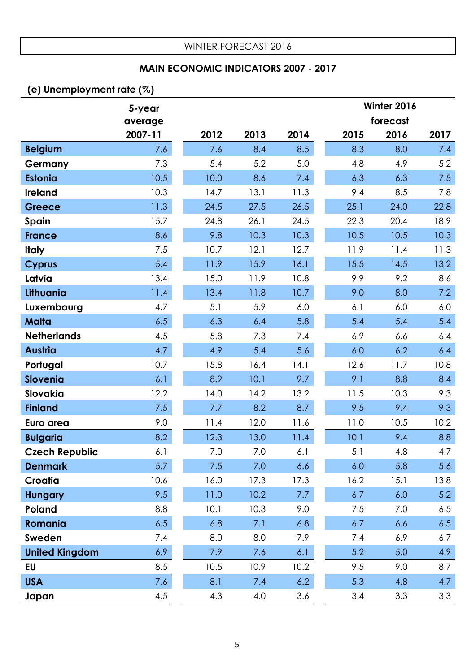### **MAIN ECONOMIC INDICATORS 2007 - 2017**

## **(e) Unemployment rate (%)**

|                       | 5-year  |      |      |      |      | Winter 2016 |      |  |  |
|-----------------------|---------|------|------|------|------|-------------|------|--|--|
|                       | average |      |      |      |      | forecast    |      |  |  |
|                       | 2007-11 | 2012 | 2013 | 2014 | 2015 | 2016        | 2017 |  |  |
| <b>Belgium</b>        | 7.6     | 7.6  | 8.4  | 8.5  | 8.3  | 8.0         | 7.4  |  |  |
| Germany               | 7.3     | 5.4  | 5.2  | 5.0  | 4.8  | 4.9         | 5.2  |  |  |
| <b>Estonia</b>        | 10.5    | 10.0 | 8.6  | 7.4  | 6.3  | 6.3         | 7.5  |  |  |
| <b>Ireland</b>        | 10.3    | 14.7 | 13.1 | 11.3 | 9.4  | 8.5         | 7.8  |  |  |
| <b>Greece</b>         | 11.3    | 24.5 | 27.5 | 26.5 | 25.1 | 24.0        | 22.8 |  |  |
| Spain                 | 15.7    | 24.8 | 26.1 | 24.5 | 22.3 | 20.4        | 18.9 |  |  |
| <b>France</b>         | 8.6     | 9.8  | 10.3 | 10.3 | 10.5 | 10.5        | 10.3 |  |  |
| <b>Italy</b>          | 7.5     | 10.7 | 12.1 | 12.7 | 11.9 | 11.4        | 11.3 |  |  |
| <b>Cyprus</b>         | 5.4     | 11.9 | 15.9 | 16.1 | 15.5 | 14.5        | 13.2 |  |  |
| Latvia                | 13.4    | 15.0 | 11.9 | 10.8 | 9.9  | 9.2         | 8.6  |  |  |
| Lithuania             | 11.4    | 13.4 | 11.8 | 10.7 | 9.0  | 8.0         | 7.2  |  |  |
| Luxembourg            | 4.7     | 5.1  | 5.9  | 6.0  | 6.1  | 6.0         | 6.0  |  |  |
| <b>Malta</b>          | 6.5     | 6.3  | 6.4  | 5.8  | 5.4  | 5.4         | 5.4  |  |  |
| <b>Netherlands</b>    | 4.5     | 5.8  | 7.3  | 7.4  | 6.9  | 6.6         | 6.4  |  |  |
| <b>Austria</b>        | 4.7     | 4.9  | 5.4  | 5.6  | 6.0  | 6.2         | 6.4  |  |  |
| Portugal              | 10.7    | 15.8 | 16.4 | 14.1 | 12.6 | 11.7        | 10.8 |  |  |
| <b>Slovenia</b>       | 6.1     | 8.9  | 10.1 | 9.7  | 9.1  | 8.8         | 8.4  |  |  |
| Slovakia              | 12.2    | 14.0 | 14.2 | 13.2 | 11.5 | 10.3        | 9.3  |  |  |
| <b>Finland</b>        | 7.5     | 7.7  | 8.2  | 8.7  | 9.5  | 9.4         | 9.3  |  |  |
| Euro area             | 9.0     | 11.4 | 12.0 | 11.6 | 11.0 | 10.5        | 10.2 |  |  |
| <b>Bulgaria</b>       | 8.2     | 12.3 | 13.0 | 11.4 | 10.1 | 9.4         | 8.8  |  |  |
| <b>Czech Republic</b> | 6.1     | 7.0  | 7.0  | 6.1  | 5.1  | 4.8         | 4.7  |  |  |
| <b>Denmark</b>        | 5.7     | 7.5  | 7.0  | 6.6  | 6.0  | 5.8         | 5.6  |  |  |
| Croatia               | 10.6    | 16.0 | 17.3 | 17.3 | 16.2 | 15.1        | 13.8 |  |  |
| <b>Hungary</b>        | 9.5     | 11.0 | 10.2 | 7.7  | 6.7  | 6.0         | 5.2  |  |  |
| Poland                | 8.8     | 10.1 | 10.3 | 9.0  | 7.5  | 7.0         | 6.5  |  |  |
| Romania               | 6.5     | 6.8  | 7.1  | 6.8  | 6.7  | 6.6         | 6.5  |  |  |
| Sweden                | 7.4     | 8.0  | 8.0  | 7.9  | 7.4  | 6.9         | 6.7  |  |  |
| <b>United Kingdom</b> | 6.9     | 7.9  | 7.6  | 6.1  | 5.2  | 5.0         | 4.9  |  |  |
| <b>EU</b>             | 8.5     | 10.5 | 10.9 | 10.2 | 9.5  | 9.0         | 8.7  |  |  |
| <b>USA</b>            | 7.6     | 8.1  | 7.4  | 6.2  | 5.3  | 4.8         | 4.7  |  |  |
| Japan                 | 4.5     | 4.3  | 4.0  | 3.6  | 3.4  | 3.3         | 3.3  |  |  |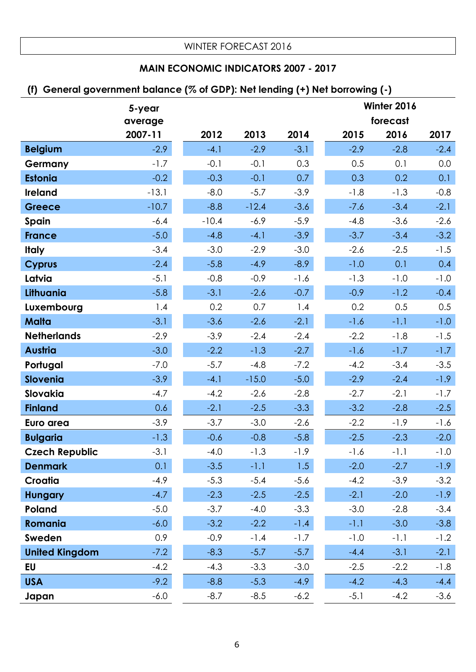## **MAIN ECONOMIC INDICATORS 2007 - 2017**

### **(f) General government balance (% of GDP): Net lending (+) Net borrowing (-)**

|                       | 5-year  |         |         |        | Winter 2016 |          |        |
|-----------------------|---------|---------|---------|--------|-------------|----------|--------|
|                       | average |         |         |        |             | forecast |        |
|                       | 2007-11 | 2012    | 2013    | 2014   | 2015        | 2016     | 2017   |
| <b>Belgium</b>        | $-2.9$  | $-4.1$  | $-2.9$  | $-3.1$ | $-2.9$      | $-2.8$   | $-2.4$ |
| Germany               | $-1.7$  | $-0.1$  | $-0.1$  | 0.3    | 0.5         | 0.1      | 0.0    |
| <b>Estonia</b>        | $-0.2$  | $-0.3$  | $-0.1$  | 0.7    | 0.3         | 0.2      | 0.1    |
| <b>Ireland</b>        | $-13.1$ | $-8.0$  | $-5.7$  | $-3.9$ | $-1.8$      | $-1.3$   | $-0.8$ |
| <b>Greece</b>         | $-10.7$ | $-8.8$  | $-12.4$ | $-3.6$ | $-7.6$      | $-3.4$   | $-2.1$ |
| Spain                 | $-6.4$  | $-10.4$ | $-6.9$  | $-5.9$ | $-4.8$      | $-3.6$   | $-2.6$ |
| <b>France</b>         | $-5.0$  | $-4.8$  | $-4.1$  | $-3.9$ | $-3.7$      | $-3.4$   | $-3.2$ |
| <b>Italy</b>          | $-3.4$  | $-3.0$  | $-2.9$  | $-3.0$ | $-2.6$      | $-2.5$   | $-1.5$ |
| <b>Cyprus</b>         | $-2.4$  | $-5.8$  | $-4.9$  | $-8.9$ | $-1.0$      | 0.1      | 0.4    |
| Latvia                | $-5.1$  | $-0.8$  | $-0.9$  | $-1.6$ | $-1.3$      | $-1.0$   | $-1.0$ |
| Lithuania             | $-5.8$  | $-3.1$  | $-2.6$  | $-0.7$ | $-0.9$      | $-1.2$   | $-0.4$ |
| Luxembourg            | 1.4     | 0.2     | 0.7     | 1.4    | 0.2         | 0.5      | 0.5    |
| <b>Malta</b>          | $-3.1$  | $-3.6$  | $-2.6$  | $-2.1$ | $-1.6$      | $-1.1$   | $-1.0$ |
| <b>Netherlands</b>    | $-2.9$  | $-3.9$  | $-2.4$  | $-2.4$ | $-2.2$      | $-1.8$   | $-1.5$ |
| <b>Austria</b>        | $-3.0$  | $-2.2$  | $-1.3$  | $-2.7$ | $-1.6$      | $-1.7$   | $-1.7$ |
| Portugal              | $-7.0$  | $-5.7$  | $-4.8$  | $-7.2$ | $-4.2$      | $-3.4$   | $-3.5$ |
| <b>Slovenia</b>       | $-3.9$  | $-4.1$  | $-15.0$ | $-5.0$ | $-2.9$      | $-2.4$   | $-1.9$ |
| Slovakia              | $-4.7$  | $-4.2$  | $-2.6$  | $-2.8$ | $-2.7$      | $-2.1$   | $-1.7$ |
| <b>Finland</b>        | 0.6     | $-2.1$  | $-2.5$  | $-3.3$ | $-3.2$      | $-2.8$   | $-2.5$ |
| Euro area             | $-3.9$  | $-3.7$  | $-3.0$  | $-2.6$ | $-2.2$      | $-1.9$   | $-1.6$ |
| <b>Bulgaria</b>       | $-1.3$  | $-0.6$  | $-0.8$  | $-5.8$ | $-2.5$      | $-2.3$   | $-2.0$ |
| <b>Czech Republic</b> | $-3.1$  | $-4.0$  | $-1.3$  | $-1.9$ | $-1.6$      | $-1.1$   | $-1.0$ |
| <b>Denmark</b>        | 0.1     | $-3.5$  | $-1.1$  | 1.5    | $-2.0$      | $-2.7$   | $-1.9$ |
| Croatia               | $-4.9$  | $-5.3$  | $-5.4$  | $-5.6$ | $-4.2$      | $-3.9$   | $-3.2$ |
| <b>Hungary</b>        | $-4.7$  | $-2.3$  | $-2.5$  | $-2.5$ | $-2.1$      | $-2.0$   | $-1.9$ |
| Poland                | $-5.0$  | $-3.7$  | $-4.0$  | $-3.3$ | $-3.0$      | $-2.8$   | $-3.4$ |
| Romania               | $-6.0$  | $-3.2$  | $-2.2$  | $-1.4$ | $-1.1$      | $-3.0$   | $-3.8$ |
| Sweden                | 0.9     | $-0.9$  | $-1.4$  | $-1.7$ | $-1.0$      | $-1.1$   | $-1.2$ |
| <b>United Kingdom</b> | $-7.2$  | $-8.3$  | $-5.7$  | $-5.7$ | $-4.4$      | $-3.1$   | $-2.1$ |
| <b>EU</b>             | $-4.2$  | $-4.3$  | $-3.3$  | $-3.0$ | $-2.5$      | $-2.2$   | $-1.8$ |
| <b>USA</b>            | $-9.2$  | $-8.8$  | $-5.3$  | $-4.9$ | $-4.2$      | $-4.3$   | $-4.4$ |
| Japan                 | $-6.0$  | $-8.7$  | $-8.5$  | $-6.2$ | $-5.1$      | $-4.2$   | $-3.6$ |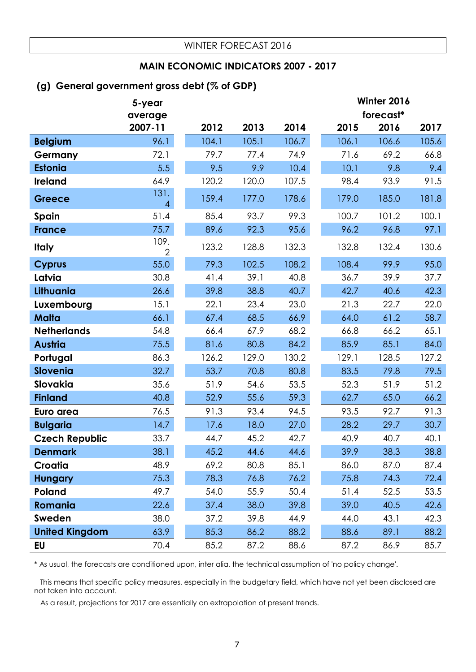#### **MAIN ECONOMIC INDICATORS 2007 - 2017**

#### **(g) General government gross debt (% of GDP)**

|                       | 5-year                 |       |       |       |       | Winter 2016 |       |  |  |
|-----------------------|------------------------|-------|-------|-------|-------|-------------|-------|--|--|
|                       | average                |       |       |       |       | forecast*   |       |  |  |
|                       | 2007-11                | 2012  | 2013  | 2014  | 2015  | 2016        | 2017  |  |  |
| <b>Belgium</b>        | 96.1                   | 104.1 | 105.1 | 106.7 | 106.1 | 106.6       | 105.6 |  |  |
| Germany               | 72.1                   | 79.7  | 77.4  | 74.9  | 71.6  | 69.2        | 66.8  |  |  |
| <b>Estonia</b>        | 5.5                    | 9.5   | 9.9   | 10.4  | 10.1  | 9.8         | 9.4   |  |  |
| <b>Ireland</b>        | 64.9                   | 120.2 | 120.0 | 107.5 | 98.4  | 93.9        | 91.5  |  |  |
| <b>Greece</b>         | 131.<br>$\overline{4}$ | 159.4 | 177.0 | 178.6 | 179.0 | 185.0       | 181.8 |  |  |
| Spain                 | 51.4                   | 85.4  | 93.7  | 99.3  | 100.7 | 101.2       | 100.1 |  |  |
| <b>France</b>         | 75.7                   | 89.6  | 92.3  | 95.6  | 96.2  | 96.8        | 97.1  |  |  |
| <b>Italy</b>          | 109.<br>$\overline{2}$ | 123.2 | 128.8 | 132.3 | 132.8 | 132.4       | 130.6 |  |  |
| <b>Cyprus</b>         | 55.0                   | 79.3  | 102.5 | 108.2 | 108.4 | 99.9        | 95.0  |  |  |
| Latvia                | 30.8                   | 41.4  | 39.1  | 40.8  | 36.7  | 39.9        | 37.7  |  |  |
| Lithuania             | 26.6                   | 39.8  | 38.8  | 40.7  | 42.7  | 40.6        | 42.3  |  |  |
| Luxembourg            | 15.1                   | 22.1  | 23.4  | 23.0  | 21.3  | 22.7        | 22.0  |  |  |
| <b>Malta</b>          | 66.1                   | 67.4  | 68.5  | 66.9  | 64.0  | 61.2        | 58.7  |  |  |
| <b>Netherlands</b>    | 54.8                   | 66.4  | 67.9  | 68.2  | 66.8  | 66.2        | 65.1  |  |  |
| <b>Austria</b>        | 75.5                   | 81.6  | 80.8  | 84.2  | 85.9  | 85.1        | 84.0  |  |  |
| Portugal              | 86.3                   | 126.2 | 129.0 | 130.2 | 129.1 | 128.5       | 127.2 |  |  |
| <b>Slovenia</b>       | 32.7                   | 53.7  | 70.8  | 80.8  | 83.5  | 79.8        | 79.5  |  |  |
| Slovakia              | 35.6                   | 51.9  | 54.6  | 53.5  | 52.3  | 51.9        | 51.2  |  |  |
| <b>Finland</b>        | 40.8                   | 52.9  | 55.6  | 59.3  | 62.7  | 65.0        | 66.2  |  |  |
| Euro area             | 76.5                   | 91.3  | 93.4  | 94.5  | 93.5  | 92.7        | 91.3  |  |  |
| <b>Bulgaria</b>       | 14.7                   | 17.6  | 18.0  | 27.0  | 28.2  | 29.7        | 30.7  |  |  |
| <b>Czech Republic</b> | 33.7                   | 44.7  | 45.2  | 42.7  | 40.9  | 40.7        | 40.1  |  |  |
| <b>Denmark</b>        | 38.1                   | 45.2  | 44.6  | 44.6  | 39.9  | 38.3        | 38.8  |  |  |
| Croatia               | 48.9                   | 69.2  | 80.8  | 85.1  | 86.0  | 87.0        | 87.4  |  |  |
| <b>Hungary</b>        | 75.3                   | 78.3  | 76.8  | 76.2  | 75.8  | 74.3        | 72.4  |  |  |
| Poland                | 49.7                   | 54.0  | 55.9  | 50.4  | 51.4  | 52.5        | 53.5  |  |  |
| Romania               | 22.6                   | 37.4  | 38.0  | 39.8  | 39.0  | 40.5        | 42.6  |  |  |
| Sweden                | 38.0                   | 37.2  | 39.8  | 44.9  | 44.0  | 43.1        | 42.3  |  |  |
| <b>United Kingdom</b> | 63.9                   | 85.3  | 86.2  | 88.2  | 88.6  | 89.1        | 88.2  |  |  |
| EU                    | 70.4                   | 85.2  | 87.2  | 88.6  | 87.2  | 86.9        | 85.7  |  |  |

\* As usual, the forecasts are conditioned upon, inter alia, the technical assumption of 'no policy change'.

 This means that specific policy measures, especially in the budgetary field, which have not yet been disclosed are not taken into account.

As a result, projections for 2017 are essentially an extrapolation of present trends.